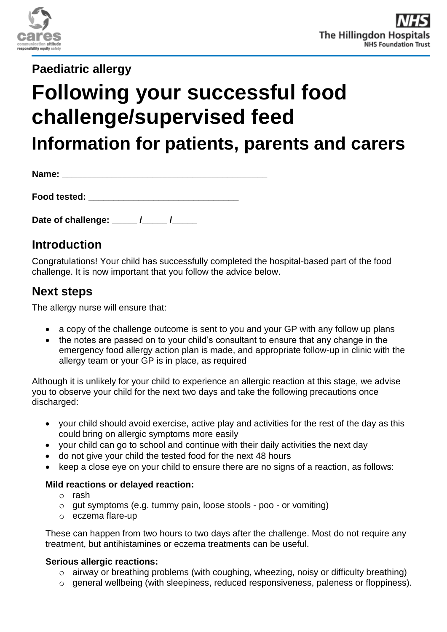

**Paediatric allergy**

# **Following your successful food challenge/supervised feed**

**Information for patients, parents and carers**

| Name:        |  |  |
|--------------|--|--|
|              |  |  |
| Food tested: |  |  |

Date of challenge:  $\frac{1}{2}$ 

# **Introduction**

Congratulations! Your child has successfully completed the hospital-based part of the food challenge. It is now important that you follow the advice below.

## **Next steps**

The allergy nurse will ensure that:

- a copy of the challenge outcome is sent to you and your GP with any follow up plans
- the notes are passed on to your child's consultant to ensure that any change in the emergency food allergy action plan is made, and appropriate follow-up in clinic with the allergy team or your GP is in place, as required

Although it is unlikely for your child to experience an allergic reaction at this stage, we advise you to observe your child for the next two days and take the following precautions once discharged:

- your child should avoid exercise, active play and activities for the rest of the day as this could bring on allergic symptoms more easily
- your child can go to school and continue with their daily activities the next day
- do not give your child the tested food for the next 48 hours
- keep a close eye on your child to ensure there are no signs of a reaction, as follows:

## **Mild reactions or delayed reaction:**

- o rash
- o gut symptoms (e.g. tummy pain, loose stools poo or vomiting)
- o eczema flare-up

These can happen from two hours to two days after the challenge. Most do not require any treatment, but antihistamines or eczema treatments can be useful.

## **Serious allergic reactions:**

- o airway or breathing problems (with coughing, wheezing, noisy or difficulty breathing)
- o general wellbeing (with sleepiness, reduced responsiveness, paleness or floppiness).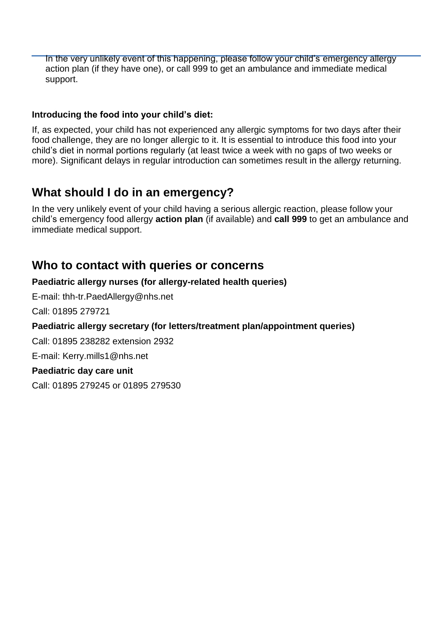In the very unlikely event of this happening, please follow your child's emergency allergy action plan (if they have one), or call 999 to get an ambulance and immediate medical support.

## **Introducing the food into your child's diet:**

If, as expected, your child has not experienced any allergic symptoms for two days after their food challenge, they are no longer allergic to it. It is essential to introduce this food into your child's diet in normal portions regularly (at least twice a week with no gaps of two weeks or more). Significant delays in regular introduction can sometimes result in the allergy returning.

# **What should I do in an emergency?**

In the very unlikely event of your child having a serious allergic reaction, please follow your child's emergency food allergy **action plan** (if available) and **call 999** to get an ambulance and immediate medical support.

## **Who to contact with queries or concerns**

## **Paediatric allergy nurses (for allergy-related health queries)**

E-mail: [thh-tr.PaedAllergy@nhs.net](mailto:thh-tr.PaedAllergy@nhs.net)

Call: 01895 279721

## **Paediatric allergy secretary (for letters/treatment plan/appointment queries)**

Call: 01895 238282 extension 2932

E-mail: Kerry.mills1@nhs.net

## **Paediatric day care unit**

Call: 01895 279245 or 01895 279530